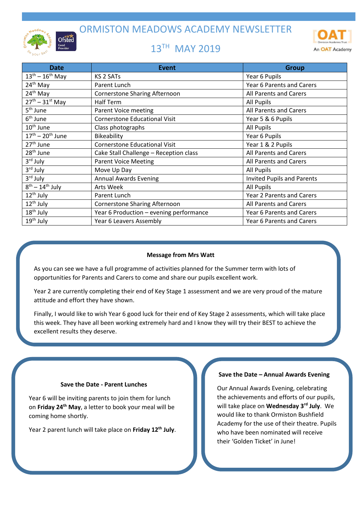ORMISTON MEADOWS ACADEMY NEWSLETTER



# 13<sup>TH</sup> MAY 2019



| <b>Date</b>              | <b>Event</b>                            | <b>Group</b>                      |
|--------------------------|-----------------------------------------|-----------------------------------|
| $13^{th} - 16^{th}$ May  | <b>KS 2 SATs</b>                        | Year 6 Pupils                     |
| $24th$ May               | Parent Lunch                            | Year 6 Parents and Carers         |
| 24 <sup>th</sup> May     | <b>Cornerstone Sharing Afternoon</b>    | All Parents and Carers            |
| $27th - 31st$ May        | Half Term                               | All Pupils                        |
| 5 <sup>th</sup> June     | Parent Voice meeting                    | All Parents and Carers            |
| $6th$ June               | <b>Cornerstone Educational Visit</b>    | Year 5 & 6 Pupils                 |
| $10th$ June              | Class photographs                       | All Pupils                        |
| $17^{th} - 20^{th}$ June | Bikeability                             | Year 6 Pupils                     |
| 27 <sup>th</sup> June    | <b>Cornerstone Educational Visit</b>    | Year 1 & 2 Pupils                 |
| 28 <sup>th</sup> June    | Cake Stall Challenge - Reception class  | All Parents and Carers            |
| 3rd July                 | <b>Parent Voice Meeting</b>             | All Parents and Carers            |
| 3rd July                 | Move Up Day                             | All Pupils                        |
| $3rd$ July               | <b>Annual Awards Evening</b>            | <b>Invited Pupils and Parents</b> |
| $8th - 14th$ July        | Arts Week                               | <b>All Pupils</b>                 |
| 12 <sup>th</sup> July    | Parent Lunch                            | <b>Year 2 Parents and Carers</b>  |
| 12 <sup>th</sup> July    | <b>Cornerstone Sharing Afternoon</b>    | All Parents and Carers            |
| 18 <sup>th</sup> July    | Year 6 Production - evening performance | Year 6 Parents and Carers         |
| $19th$ July              | Year 6 Leavers Assembly                 | Year 6 Parents and Carers         |

## **Message from Mrs Watt**

As you can see we have a full programme of activities planned for the Summer term with lots of opportunities for Parents and Carers to come and share our pupils excellent work.

Year 2 are currently completing their end of Key Stage 1 assessment and we are very proud of the mature attitude and effort they have shown.

Finally, I would like to wish Year 6 good luck for their end of Key Stage 2 assessments, which will take place this week. They have all been working extremely hard and I know they will try their BEST to achieve the excellent results they deserve.

## **Save the Date - Parent Lunches**

Year 6 will be inviting parents to join them for lunch on **Friday 24th May**, a letter to book your meal will be coming home shortly.

Year 2 parent lunch will take place on **Friday 12th July**.

#### **Save the Date – Annual Awards Evening**

Our Annual Awards Evening, celebrating the achievements and efforts of our pupils, will take place on **Wednesday 3rd July**. We would like to thank Ormiston Bushfield Academy for the use of their theatre. Pupils who have been nominated will receive their 'Golden Ticket' in June!